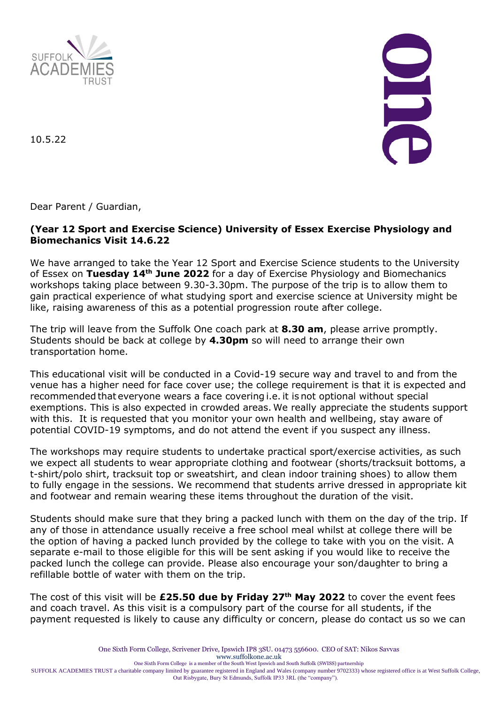

10.5.22

Dear Parent / Guardian,

## **(Year 12 Sport and Exercise Science) University of Essex Exercise Physiology and Biomechanics Visit 14.6.22**

We have arranged to take the Year 12 Sport and Exercise Science students to the University of Essex on **Tuesday 14th June 2022** for a day of Exercise Physiology and Biomechanics workshops taking place between 9.30-3.30pm. The purpose of the trip is to allow them to gain practical experience of what studying sport and exercise science at University might be like, raising awareness of this as a potential progression route after college.

The trip will leave from the Suffolk One coach park at **8.30 am**, please arrive promptly. Students should be back at college by **4.30pm** so will need to arrange their own transportation home.

This educational visit will be conducted in a Covid-19 secure way and travel to and from the venue has a higher need for face cover use; the college requirement is that it is expected and recommended that everyone wears a face covering i.e. it is not optional without special exemptions. This is also expected in crowded areas. We really appreciate the students support with this. It is requested that you monitor your own health and wellbeing, stay aware of potential COVID-19 symptoms, and do not attend the event if you suspect any illness.

The workshops may require students to undertake practical sport/exercise activities, as such we expect all students to wear appropriate clothing and footwear (shorts/tracksuit bottoms, a t-shirt/polo shirt, tracksuit top or sweatshirt, and clean indoor training shoes) to allow them to fully engage in the sessions. We recommend that students arrive dressed in appropriate kit and footwear and remain wearing these items throughout the duration of the visit.

Students should make sure that they bring a packed lunch with them on the day of the trip. If any of those in attendance usually receive a free school meal whilst at college there will be the option of having a packed lunch provided by the college to take with you on the visit. A separate e-mail to those eligible for this will be sent asking if you would like to receive the packed lunch the college can provide. Please also encourage your son/daughter to bring a refillable bottle of water with them on the trip.

The cost of this visit will be **£25.50 due by Friday 27th May 2022** to cover the event fees and coach travel. As this visit is a compulsory part of the course for all students, if the payment requested is likely to cause any difficulty or concern, please do contact us so we can